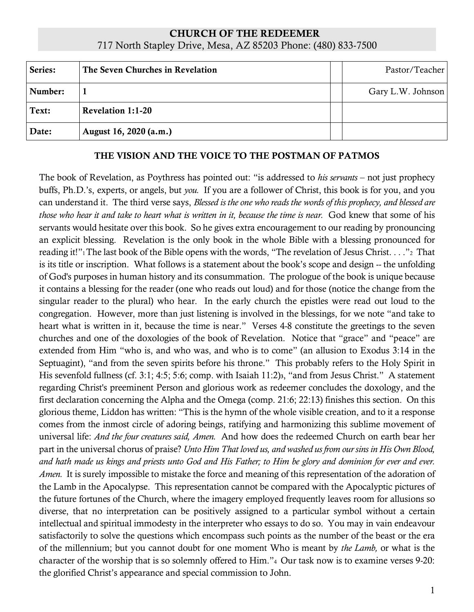## CHURCH OF THE REDEEMER 717 North Stapley Drive, Mesa, AZ 85203 Phone: (480) 833-7500

| Series: | The Seven Churches in Revelation | Pastor/Teacher    |
|---------|----------------------------------|-------------------|
| Number: |                                  | Gary L.W. Johnson |
| Text:   | <b>Revelation 1:1-20</b>         |                   |
| Date:   | August 16, 2020 (a.m.)           |                   |

## THE VISION AND THE VOICE TO THE POSTMAN OF PATMOS

The book of Revelation, as Poythress has pointed out: "is addressed to *his servants* – not just prophecy buffs, Ph.D.'s, experts, or angels, but *you.* If you are a follower of Christ, this book is for you, and you can understand it. The third verse says, *Blessed is the one who reads the words of this prophecy, and blessed are* those who hear it and take to heart what is written in it, because the time is near. God knew that some of his servants would hesitate over this book. So he gives extra encouragement to our reading by pronouncing an explicit blessing. Revelation is the only book in the whole Bible with a blessing pronounced for reading it!"<sup>1</sup> The last book of the Bible opens with the words, "The revelation of Jesus Christ. . . ."2 That is its title or inscription. What follows is a statement about the book's scope and design -- the unfolding of God's purposes in human history and its consummation. The prologue of the book is unique because it contains a blessing for the reader (one who reads out loud) and for those (notice the change from the singular reader to the plural) who hear. In the early church the epistles were read out loud to the congregation. However, more than just listening is involved in the blessings, for we note "and take to heart what is written in it, because the time is near." Verses 4-8 constitute the greetings to the seven churches and one of the doxologies of the book of Revelation. Notice that "grace" and "peace" are extended from Him "who is, and who was, and who is to come" (an allusion to Exodus 3:14 in the Septuagint), "and from the seven spirits before his throne." This probably refers to the Holy Spirit in His sevenfold fullness (cf. 3:1; 4:5; 5:6; comp. with Isaiah 11:2)<sub>3</sub>, "and from Jesus Christ." A statement regarding Christ's preeminent Person and glorious work as redeemer concludes the doxology, and the first declaration concerning the Alpha and the Omega (comp. 21:6; 22:13) finishes this section. On this glorious theme, Liddon has written: "This is the hymn of the whole visible creation, and to it a response comes from the inmost circle of adoring beings, ratifying and harmonizing this sublime movement of universal life: *And the four creatures said, Amen.* And how does the redeemed Church on earth bear her part in the universal chorus of praise? *Unto Him That loved us, and washed us from our sins in His Own Blood,* and hath made us kings and priests unto God and His Father; to Him be glory and dominion for ever and ever. *Amen.* It is surely impossible to mistake the force and meaning of this representation of the adoration of the Lamb in the Apocalypse. This representation cannot be compared with the Apocalyptic pictures of the future fortunes of the Church, where the imagery employed frequently leaves room for allusions so diverse, that no interpretation can be positively assigned to a particular symbol without a certain intellectual and spiritual immodesty in the interpreter who essays to do so. You may in vain endeavour satisfactorily to solve the questions which encompass such points as the number of the beast or the era of the millennium; but you cannot doubt for one moment Who is meant by *the Lamb,* or what is the character of the worship that is so solemnly offered to Him."<sup>4</sup> Our task now is to examine verses 9-20: the glorified Christ's appearance and special commission to John.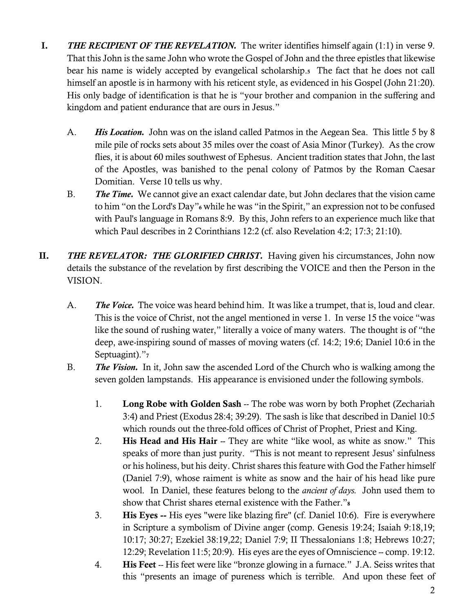- I. *THE RECIPIENT OF THE REVELATION.* The writer identifies himself again (1:1) in verse 9. That this John is the same John who wrote the Gospel of John and the three epistles that likewise bear his name is widely accepted by evangelical scholarship.5 The fact that he does not call himself an apostle is in harmony with his reticent style, as evidenced in his Gospel (John 21:20). His only badge of identification is that he is "your brother and companion in the suffering and kingdom and patient endurance that are ours in Jesus."
	- A. *His Location.* John was on the island called Patmos in the Aegean Sea. This little 5 by 8 mile pile of rocks sets about 35 miles over the coast of Asia Minor (Turkey). As the crow flies, it is about 60 miles southwest of Ephesus. Ancient tradition states that John, the last of the Apostles, was banished to the penal colony of Patmos by the Roman Caesar Domitian. Verse 10 tells us why.
	- B. *The Time.* We cannot give an exact calendar date, but John declares that the vision came to him "on the Lord's Day"<sup>6</sup> while he was "in the Spirit," an expression not to be confused with Paul's language in Romans 8:9. By this, John refers to an experience much like that which Paul describes in 2 Corinthians 12:2 (cf. also Revelation 4:2; 17:3; 21:10).
- II. *THE REVELATOR: THE GLORIFIED CHRIST.* Having given his circumstances, John now details the substance of the revelation by first describing the VOICE and then the Person in the VISION.
	- A. *The Voice.* The voice was heard behind him. It was like a trumpet, that is, loud and clear. This is the voice of Christ, not the angel mentioned in verse 1. In verse 15 the voice "was like the sound of rushing water," literally a voice of many waters. The thought is of "the deep, awe-inspiring sound of masses of moving waters (cf. 14:2; 19:6; Daniel 10:6 in the Septuagint)."7
	- B. *The Vision.* In it, John saw the ascended Lord of the Church who is walking among the seven golden lampstands. His appearance is envisioned under the following symbols.
		- 1. Long Robe with Golden Sash -- The robe was worn by both Prophet (Zechariah 3:4) and Priest (Exodus 28:4; 39:29). The sash is like that described in Daniel 10:5 which rounds out the three-fold offices of Christ of Prophet, Priest and King.
		- 2. His Head and His Hair -- They are white "like wool, as white as snow." This speaks of more than just purity. "This is not meant to represent Jesus' sinfulness or his holiness, but his deity. Christ shares this feature with God the Father himself (Daniel 7:9), whose raiment is white as snow and the hair of his head like pure wool. In Daniel, these features belong to the *ancient of days.* John used them to show that Christ shares eternal existence with the Father."<sup>8</sup>
		- 3. His Eyes -- His eyes "were like blazing fire" (cf. Daniel 10:6). Fire is everywhere in Scripture a symbolism of Divine anger (comp. Genesis 19:24; Isaiah 9:18,19; 10:17; 30:27; Ezekiel 38:19,22; Daniel 7:9; II Thessalonians 1:8; Hebrews 10:27; 12:29; Revelation 11:5; 20:9). His eyes are the eyes of Omniscience -- comp. 19:12.
		- 4. His Feet -- His feet were like "bronze glowing in a furnace." J.A. Seiss writes that this "presents an image of pureness which is terrible. And upon these feet of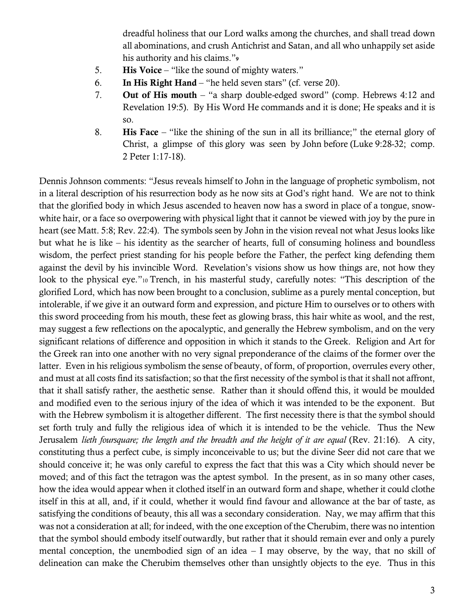dreadful holiness that our Lord walks among the churches, and shall tread down all abominations, and crush Antichrist and Satan, and all who unhappily set aside his authority and his claims."<sup>9</sup>

- 5. His Voice "like the sound of mighty waters."
- 6. In His Right Hand "he held seven stars" (cf. verse 20).
- 7. Out of His mouth "a sharp double-edged sword" (comp. Hebrews 4:12 and Revelation 19:5). By His Word He commands and it is done; He speaks and it is so.
- 8. His Face "like the shining of the sun in all its brilliance;" the eternal glory of Christ, a glimpse of this glory was seen by John before (Luke 9:28-32; comp. 2 Peter 1:17-18).

Dennis Johnson comments: "Jesus reveals himself to John in the language of prophetic symbolism, not in a literal description of his resurrection body as he now sits at God's right hand. We are not to think that the glorified body in which Jesus ascended to heaven now has a sword in place of a tongue, snowwhite hair, or a face so overpowering with physical light that it cannot be viewed with joy by the pure in heart (see Matt. 5:8; Rev. 22:4). The symbols seen by John in the vision reveal not what Jesus looks like but what he is like – his identity as the searcher of hearts, full of consuming holiness and boundless wisdom, the perfect priest standing for his people before the Father, the perfect king defending them against the devil by his invincible Word. Revelation's visions show us how things are, not how they look to the physical eye."<sup>10</sup> Trench, in his masterful study, carefully notes: "This description of the glorified Lord, which has now been brought to a conclusion, sublime as a purely mental conception, but intolerable, if we give it an outward form and expression, and picture Him to ourselves or to others with this sword proceeding from his mouth, these feet as glowing brass, this hair white as wool, and the rest, may suggest a few reflections on the apocalyptic, and generally the Hebrew symbolism, and on the very significant relations of difference and opposition in which it stands to the Greek. Religion and Art for the Greek ran into one another with no very signal preponderance of the claims of the former over the latter. Even in his religious symbolism the sense of beauty, of form, of proportion, overrules every other, and must at all costs find its satisfaction; so that the first necessity of the symbol is that it shall not affront, that it shall satisfy rather, the aesthetic sense. Rather than it should offend this, it would be moulded and modified even to the serious injury of the idea of which it was intended to be the exponent. But with the Hebrew symbolism it is altogether different. The first necessity there is that the symbol should set forth truly and fully the religious idea of which it is intended to be the vehicle. Thus the New Jerusalem *lieth foursquare; the length and the breadth and the height of it are equal* (Rev. 21:16). A city, constituting thus a perfect cube, is simply inconceivable to us; but the divine Seer did not care that we should conceive it; he was only careful to express the fact that this was a City which should never be moved; and of this fact the tetragon was the aptest symbol. In the present, as in so many other cases, how the idea would appear when it clothed itself in an outward form and shape, whether it could clothe itself in this at all, and, if it could, whether it would find favour and allowance at the bar of taste, as satisfying the conditions of beauty, this all was a secondary consideration. Nay, we may affirm that this was not a consideration at all; for indeed, with the one exception of the Cherubim, there was no intention that the symbol should embody itself outwardly, but rather that it should remain ever and only a purely mental conception, the unembodied sign of an idea – I may observe, by the way, that no skill of delineation can make the Cherubim themselves other than unsightly objects to the eye. Thus in this